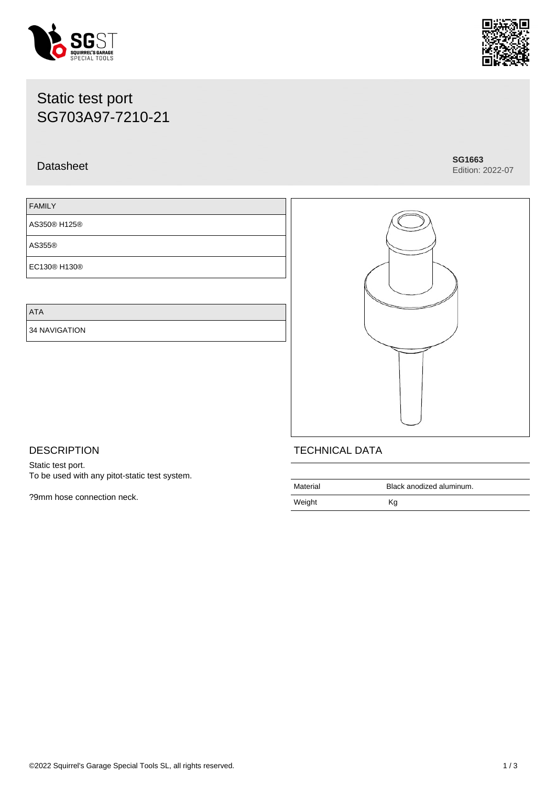#### ©2022 Squirrel's Garage Special Tools SL, all rights reserved. 1 / 3

# Static test port SG703A97-7210-21

## Datasheet **SG1663**

## FAMILY

AS350® H125®

AS355®

EC130® H130®

ATA

34 NAVIGATION

**DESCRIPTION** Static test port.

?9mm hose connection neck.

To be used with any pitot-static test system.

| <b>TECHNICA</b> |
|-----------------|
|                 |

| Material | Black anodized aluminum. |
|----------|--------------------------|
| Weight   | Κg                       |





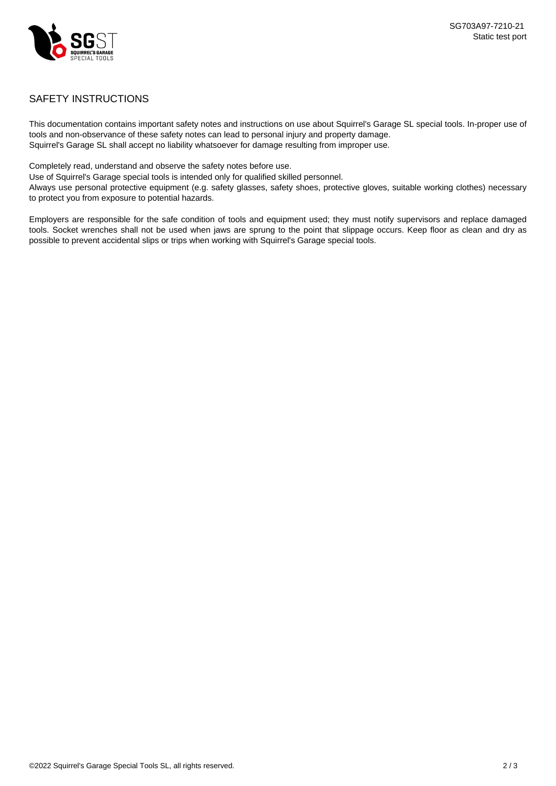

## SAFETY INSTRUCTIONS

This documentation contains important safety notes and instructions on use about Squirrel's Garage SL special tools. In-proper use of tools and non-observance of these safety notes can lead to personal injury and property damage. Squirrel's Garage SL shall accept no liability whatsoever for damage resulting from improper use.

Completely read, understand and observe the safety notes before use.

Use of Squirrel's Garage special tools is intended only for qualified skilled personnel.

Always use personal protective equipment (e.g. safety glasses, safety shoes, protective gloves, suitable working clothes) necessary to protect you from exposure to potential hazards.

Employers are responsible for the safe condition of tools and equipment used; they must notify supervisors and replace damaged tools. Socket wrenches shall not be used when jaws are sprung to the point that slippage occurs. Keep floor as clean and dry as possible to prevent accidental slips or trips when working with Squirrel's Garage special tools.